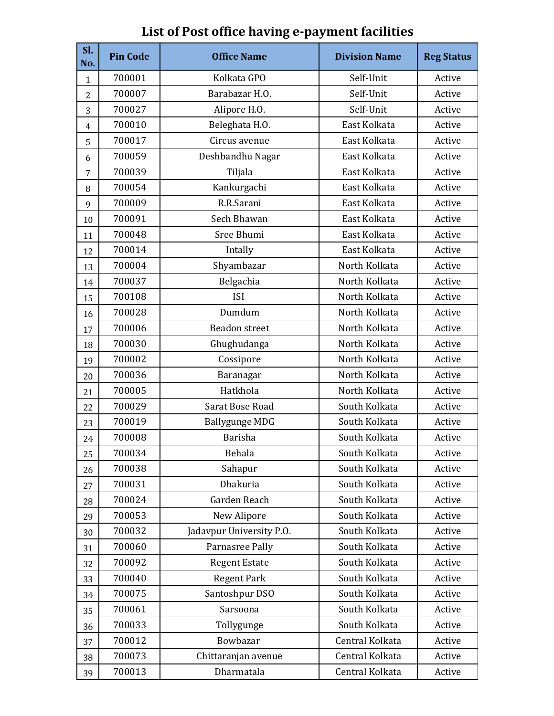| SI.<br>No.     | <b>Pin Code</b> | <b>Office Name</b>       | <b>Division Name</b> | <b>Reg Status</b> |
|----------------|-----------------|--------------------------|----------------------|-------------------|
| $\mathbf{1}$   | 700001          | Kolkata GPO              | Self-Unit            | Active            |
| $\overline{2}$ | 700007          | Barabazar H.O.           | Self-Unit            | Active            |
| 3              | 700027          | Alipore H.O.             | Self-Unit            | Active            |
| 4              | 700010          | Beleghata H.O.           | East Kolkata         | Active            |
| 5              | 700017          | Circus avenue            | East Kolkata         | Active            |
| 6              | 700059          | Deshbandhu Nagar         | East Kolkata         | Active            |
| 7              | 700039          | Tiljala                  | East Kolkata         | Active            |
| 8              | 700054          | Kankurgachi              | East Kolkata         | Active            |
| 9              | 700009          | R.R.Sarani               | East Kolkata         | Active            |
| 10             | 700091          | Sech Bhawan              | East Kolkata         | Active            |
| 11             | 700048          | Sree Bhumi               | East Kolkata         | Active            |
| 12             | 700014          | Intally                  | East Kolkata         | Active            |
| 13             | 700004          | Shyambazar               | North Kolkata        | Active            |
| 14             | 700037          | Belgachia                | North Kolkata        | Active            |
| 15             | 700108          | <b>ISI</b>               | North Kolkata        | Active            |
| 16             | 700028          | Dumdum                   | North Kolkata        | Active            |
| 17             | 700006          | <b>Beadon</b> street     | North Kolkata        | Active            |
| 18             | 700030          | Ghughudanga              | North Kolkata        | Active            |
| 19             | 700002          | Cossipore                | North Kolkata        | Active            |
| 20             | 700036          | Baranagar                | North Kolkata        | Active            |
| 21             | 700005          | Hatkhola                 | North Kolkata        | Active            |
| 22             | 700029          | Sarat Bose Road          | South Kolkata        | Active            |
| 23             | 700019          | Ballygunge MDG           | South Kolkata        | Active            |
| 24             | 700008          | <b>Barisha</b>           | South Kolkata        | Active            |
| 25             | 700034          | Behala                   | South Kolkata        | Active            |
| 26             | 700038          | Sahapur                  | South Kolkata        | Active            |
| 27             | 700031          | Dhakuria                 | South Kolkata        | Active            |
| 28             | 700024          | Garden Reach             | South Kolkata        | Active            |
| 29             | 700053          | New Alipore              | South Kolkata        | Active            |
| 30             | 700032          | Jadavpur University P.O. | South Kolkata        | Active            |
| 31             | 700060          | Parnasree Pally          | South Kolkata        | Active            |
| 32             | 700092          | <b>Regent Estate</b>     | South Kolkata        | Active            |
| 33             | 700040          | <b>Regent Park</b>       | South Kolkata        | Active            |
| 34             | 700075          | Santoshpur DSO           | South Kolkata        | Active            |
| 35             | 700061          | Sarsoona                 | South Kolkata        | Active            |
| 36             | 700033          | Tollygunge               | South Kolkata        | Active            |
| 37             | 700012          | Bowbazar                 | Central Kolkata      | Active            |
| 38             | 700073          | Chittaranjan avenue      | Central Kolkata      | Active            |
| 39             | 700013          | Dharmatala               | Central Kolkata      | Active            |

## **List of Post office having e-payment facilities**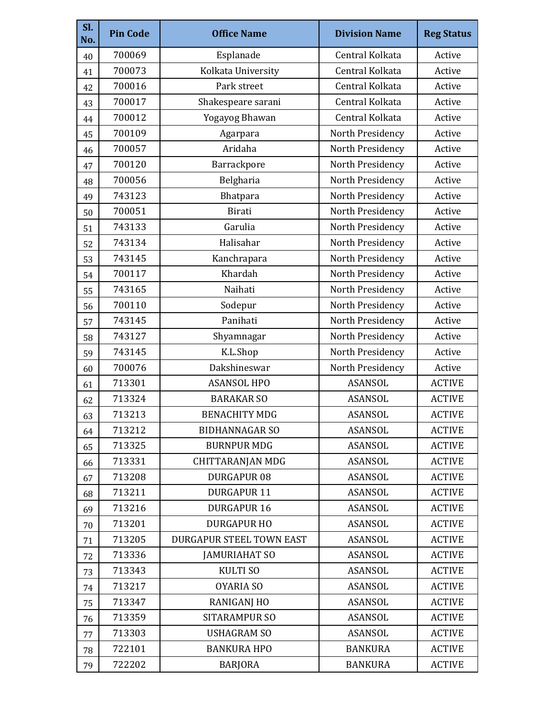| SI.<br>No. | <b>Pin Code</b> | <b>Office Name</b>       | <b>Division Name</b> | <b>Reg Status</b> |
|------------|-----------------|--------------------------|----------------------|-------------------|
| 40         | 700069          | Esplanade                | Central Kolkata      | Active            |
| 41         | 700073          | Kolkata University       | Central Kolkata      | Active            |
| 42         | 700016          | Park street              | Central Kolkata      | Active            |
| 43         | 700017          | Shakespeare sarani       | Central Kolkata      | Active            |
| 44         | 700012          | Yogayog Bhawan           | Central Kolkata      | Active            |
| 45         | 700109          | Agarpara                 | North Presidency     | Active            |
| 46         | 700057          | Aridaha                  | North Presidency     | Active            |
| 47         | 700120          | Barrackpore              | North Presidency     | Active            |
| 48         | 700056          | Belgharia                | North Presidency     | Active            |
| 49         | 743123          | Bhatpara                 | North Presidency     | Active            |
| 50         | 700051          | Birati                   | North Presidency     | Active            |
| 51         | 743133          | Garulia                  | North Presidency     | Active            |
| 52         | 743134          | Halisahar                | North Presidency     | Active            |
| 53         | 743145          | Kanchrapara              | North Presidency     | Active            |
| 54         | 700117          | Khardah                  | North Presidency     | Active            |
| 55         | 743165          | Naihati                  | North Presidency     | Active            |
| 56         | 700110          | Sodepur                  | North Presidency     | Active            |
| 57         | 743145          | Panihati                 | North Presidency     | Active            |
| 58         | 743127          | Shyamnagar               | North Presidency     | Active            |
| 59         | 743145          | K.L.Shop                 | North Presidency     | Active            |
| 60         | 700076          | Dakshineswar             | North Presidency     | Active            |
| 61         | 713301          | <b>ASANSOL HPO</b>       | <b>ASANSOL</b>       | <b>ACTIVE</b>     |
| 62         | 713324          | <b>BARAKAR SO</b>        | ASANSOL              | <b>ACTIVE</b>     |
| 63         | 713213          | <b>BENACHITY MDG</b>     | <b>ASANSOL</b>       | <b>ACTIVE</b>     |
| 64         | 713212          | <b>BIDHANNAGAR SO</b>    | ASANSOL              | <b>ACTIVE</b>     |
| 65         | 713325          | <b>BURNPUR MDG</b>       | <b>ASANSOL</b>       | <b>ACTIVE</b>     |
| 66         | 713331          | <b>CHITTARANJAN MDG</b>  | <b>ASANSOL</b>       | <b>ACTIVE</b>     |
| 67         | 713208          | <b>DURGAPUR 08</b>       | ASANSOL              | <b>ACTIVE</b>     |
| 68         | 713211          | <b>DURGAPUR 11</b>       | <b>ASANSOL</b>       | <b>ACTIVE</b>     |
| 69         | 713216          | <b>DURGAPUR 16</b>       | <b>ASANSOL</b>       | <b>ACTIVE</b>     |
| 70         | 713201          | <b>DURGAPUR HO</b>       | <b>ASANSOL</b>       | <b>ACTIVE</b>     |
| 71         | 713205          | DURGAPUR STEEL TOWN EAST | ASANSOL              | <b>ACTIVE</b>     |
| 72         | 713336          | <b>JAMURIAHAT SO</b>     | ASANSOL              | <b>ACTIVE</b>     |
| 73         | 713343          | <b>KULTI SO</b>          | ASANSOL              | <b>ACTIVE</b>     |
| 74         | 713217          | OYARIA SO                | <b>ASANSOL</b>       | <b>ACTIVE</b>     |
| 75         | 713347          | <b>RANIGANJ HO</b>       | <b>ASANSOL</b>       | <b>ACTIVE</b>     |
| 76         | 713359          | <b>SITARAMPUR SO</b>     | ASANSOL              | <b>ACTIVE</b>     |
| 77         | 713303          | <b>USHAGRAM SO</b>       | ASANSOL              | <b>ACTIVE</b>     |
| 78         | 722101          | <b>BANKURA HPO</b>       | <b>BANKURA</b>       | <b>ACTIVE</b>     |
| 79         | 722202          | <b>BARJORA</b>           | <b>BANKURA</b>       | <b>ACTIVE</b>     |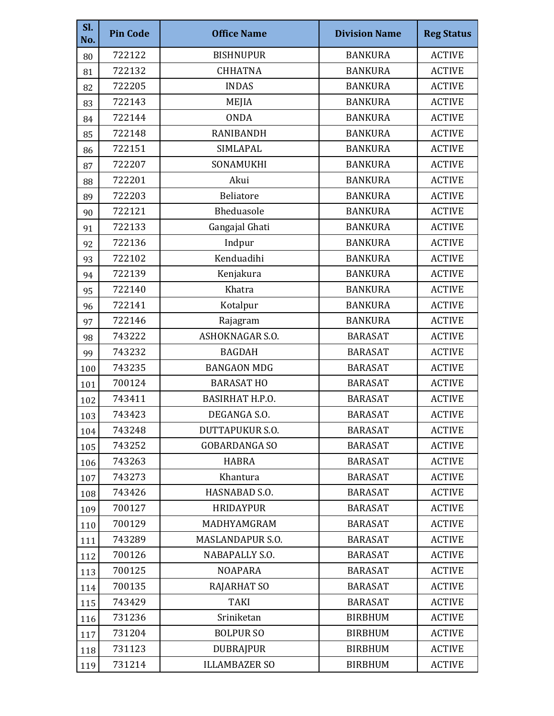| SI.<br>No. | <b>Pin Code</b> | <b>Office Name</b>      | <b>Division Name</b> | <b>Reg Status</b> |
|------------|-----------------|-------------------------|----------------------|-------------------|
| 80         | 722122          | <b>BISHNUPUR</b>        | <b>BANKURA</b>       | <b>ACTIVE</b>     |
| 81         | 722132          | <b>CHHATNA</b>          | <b>BANKURA</b>       | <b>ACTIVE</b>     |
| 82         | 722205          | <b>INDAS</b>            | <b>BANKURA</b>       | <b>ACTIVE</b>     |
| 83         | 722143          | MEJIA                   | <b>BANKURA</b>       | <b>ACTIVE</b>     |
| 84         | 722144          | <b>ONDA</b>             | <b>BANKURA</b>       | <b>ACTIVE</b>     |
| 85         | 722148          | <b>RANIBANDH</b>        | <b>BANKURA</b>       | <b>ACTIVE</b>     |
| 86         | 722151          | SIMLAPAL                | <b>BANKURA</b>       | <b>ACTIVE</b>     |
| 87         | 722207          | SONAMUKHI               | <b>BANKURA</b>       | <b>ACTIVE</b>     |
| 88         | 722201          | Akui                    | <b>BANKURA</b>       | <b>ACTIVE</b>     |
| 89         | 722203          | <b>Beliatore</b>        | <b>BANKURA</b>       | <b>ACTIVE</b>     |
| 90         | 722121          | Bheduasole              | <b>BANKURA</b>       | <b>ACTIVE</b>     |
| 91         | 722133          | Gangajal Ghati          | <b>BANKURA</b>       | <b>ACTIVE</b>     |
| 92         | 722136          | Indpur                  | <b>BANKURA</b>       | <b>ACTIVE</b>     |
| 93         | 722102          | Kenduadihi              | <b>BANKURA</b>       | <b>ACTIVE</b>     |
| 94         | 722139          | Kenjakura               | <b>BANKURA</b>       | <b>ACTIVE</b>     |
| 95         | 722140          | Khatra                  | <b>BANKURA</b>       | <b>ACTIVE</b>     |
| 96         | 722141          | Kotalpur                | <b>BANKURA</b>       | <b>ACTIVE</b>     |
| 97         | 722146          | Rajagram                | <b>BANKURA</b>       | <b>ACTIVE</b>     |
| 98         | 743222          | <b>ASHOKNAGAR S.O.</b>  | <b>BARASAT</b>       | <b>ACTIVE</b>     |
| 99         | 743232          | <b>BAGDAH</b>           | <b>BARASAT</b>       | <b>ACTIVE</b>     |
| 100        | 743235          | <b>BANGAON MDG</b>      | <b>BARASAT</b>       | <b>ACTIVE</b>     |
| 101        | 700124          | <b>BARASAT HO</b>       | <b>BARASAT</b>       | <b>ACTIVE</b>     |
| 102        | 743411          | <b>BASIRHAT H.P.O.</b>  | <b>BARASAT</b>       | <b>ACTIVE</b>     |
| 103        | 743423          | DEGANGA S.O.            | <b>BARASAT</b>       | <b>ACTIVE</b>     |
| 104        | 743248          | DUTTAPUKUR S.O.         | <b>BARASAT</b>       | <b>ACTIVE</b>     |
| 105        | 743252          | <b>GOBARDANGA SO</b>    | <b>BARASAT</b>       | <b>ACTIVE</b>     |
| 106        | 743263          | <b>HABRA</b>            | <b>BARASAT</b>       | <b>ACTIVE</b>     |
| 107        | 743273          | Khantura                | <b>BARASAT</b>       | <b>ACTIVE</b>     |
| 108        | 743426          | HASNABAD S.O.           | <b>BARASAT</b>       | <b>ACTIVE</b>     |
| 109        | 700127          | <b>HRIDAYPUR</b>        | <b>BARASAT</b>       | <b>ACTIVE</b>     |
| 110        | 700129          | MADHYAMGRAM             | <b>BARASAT</b>       | <b>ACTIVE</b>     |
| 111        | 743289          | <b>MASLANDAPUR S.O.</b> | <b>BARASAT</b>       | <b>ACTIVE</b>     |
| 112        | 700126          | NABAPALLY S.O.          | <b>BARASAT</b>       | <b>ACTIVE</b>     |
| 113        | 700125          | <b>NOAPARA</b>          | <b>BARASAT</b>       | <b>ACTIVE</b>     |
| 114        | 700135          | <b>RAJARHAT SO</b>      | <b>BARASAT</b>       | <b>ACTIVE</b>     |
| 115        | 743429          | <b>TAKI</b>             | <b>BARASAT</b>       | <b>ACTIVE</b>     |
| 116        | 731236          | Sriniketan              | <b>BIRBHUM</b>       | <b>ACTIVE</b>     |
| 117        | 731204          | <b>BOLPUR SO</b>        | <b>BIRBHUM</b>       | <b>ACTIVE</b>     |
| 118        | 731123          | <b>DUBRAJPUR</b>        | <b>BIRBHUM</b>       | <b>ACTIVE</b>     |
| 119        | 731214          | <b>ILLAMBAZER SO</b>    | <b>BIRBHUM</b>       | <b>ACTIVE</b>     |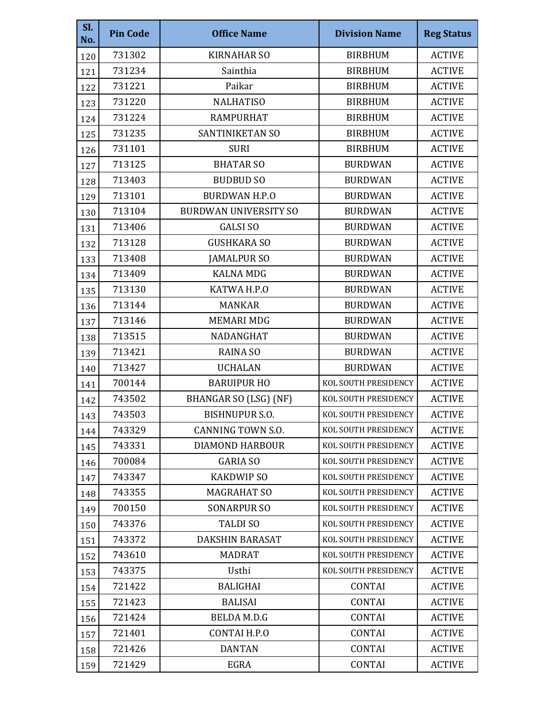| SI.<br>No. | <b>Pin Code</b> | <b>Office Name</b>           | <b>Division Name</b> | <b>Reg Status</b> |
|------------|-----------------|------------------------------|----------------------|-------------------|
| 120        | 731302          | <b>KIRNAHAR SO</b>           | <b>BIRBHUM</b>       | <b>ACTIVE</b>     |
| 121        | 731234          | Sainthia                     | <b>BIRBHUM</b>       | <b>ACTIVE</b>     |
| 122        | 731221          | Paikar                       | <b>BIRBHUM</b>       | <b>ACTIVE</b>     |
| 123        | 731220          | <b>NALHATISO</b>             | <b>BIRBHUM</b>       | <b>ACTIVE</b>     |
| 124        | 731224          | <b>RAMPURHAT</b>             | <b>BIRBHUM</b>       | <b>ACTIVE</b>     |
| 125        | 731235          | SANTINIKETAN SO              | <b>BIRBHUM</b>       | <b>ACTIVE</b>     |
| 126        | 731101          | <b>SURI</b>                  | <b>BIRBHUM</b>       | <b>ACTIVE</b>     |
| 127        | 713125          | <b>BHATAR SO</b>             | <b>BURDWAN</b>       | <b>ACTIVE</b>     |
| 128        | 713403          | <b>BUDBUD SO</b>             | <b>BURDWAN</b>       | <b>ACTIVE</b>     |
| 129        | 713101          | <b>BURDWAN H.P.O</b>         | <b>BURDWAN</b>       | <b>ACTIVE</b>     |
| 130        | 713104          | <b>BURDWAN UNIVERSITY SO</b> | <b>BURDWAN</b>       | <b>ACTIVE</b>     |
| 131        | 713406          | <b>GALSI SO</b>              | <b>BURDWAN</b>       | <b>ACTIVE</b>     |
| 132        | 713128          | <b>GUSHKARA SO</b>           | <b>BURDWAN</b>       | <b>ACTIVE</b>     |
| 133        | 713408          | <b>JAMALPUR SO</b>           | <b>BURDWAN</b>       | <b>ACTIVE</b>     |
| 134        | 713409          | <b>KALNA MDG</b>             | <b>BURDWAN</b>       | <b>ACTIVE</b>     |
| 135        | 713130          | KATWA H.P.O                  | <b>BURDWAN</b>       | <b>ACTIVE</b>     |
| 136        | 713144          | <b>MANKAR</b>                | <b>BURDWAN</b>       | <b>ACTIVE</b>     |
| 137        | 713146          | <b>MEMARI MDG</b>            | <b>BURDWAN</b>       | <b>ACTIVE</b>     |
| 138        | 713515          | NADANGHAT                    | <b>BURDWAN</b>       | <b>ACTIVE</b>     |
| 139        | 713421          | <b>RAINA SO</b>              | <b>BURDWAN</b>       | <b>ACTIVE</b>     |
| 140        | 713427          | <b>UCHALAN</b>               | <b>BURDWAN</b>       | <b>ACTIVE</b>     |
| 141        | 700144          | <b>BARUIPUR HO</b>           | KOL SOUTH PRESIDENCY | <b>ACTIVE</b>     |
| 142        | 743502          | BHANGAR SO (LSG) (NF)        | KOL SOUTH PRESIDENCY | <b>ACTIVE</b>     |
| 143        | 743503          | <b>BISHNUPUR S.O.</b>        | KOL SOUTH PRESIDENCY | <b>ACTIVE</b>     |
| 144        | 743329          | CANNING TOWN S.O.            | KOL SOUTH PRESIDENCY | <b>ACTIVE</b>     |
| 145        | 743331          | DIAMOND HARBOUR              | KOL SOUTH PRESIDENCY | <b>ACTIVE</b>     |
| 146        | 700084          | <b>GARIA SO</b>              | KOL SOUTH PRESIDENCY | <b>ACTIVE</b>     |
| 147        | 743347          | <b>KAKDWIP SO</b>            | KOL SOUTH PRESIDENCY | <b>ACTIVE</b>     |
| 148        | 743355          | <b>MAGRAHAT SO</b>           | KOL SOUTH PRESIDENCY | <b>ACTIVE</b>     |
| 149        | 700150          | <b>SONARPUR SO</b>           | KOL SOUTH PRESIDENCY | <b>ACTIVE</b>     |
| 150        | 743376          | <b>TALDISO</b>               | KOL SOUTH PRESIDENCY | <b>ACTIVE</b>     |
| 151        | 743372          | <b>DAKSHIN BARASAT</b>       | KOL SOUTH PRESIDENCY | <b>ACTIVE</b>     |
| 152        | 743610          | <b>MADRAT</b>                | KOL SOUTH PRESIDENCY | <b>ACTIVE</b>     |
| 153        | 743375          | Usthi                        | KOL SOUTH PRESIDENCY | <b>ACTIVE</b>     |
| 154        | 721422          | <b>BALIGHAI</b>              | <b>CONTAI</b>        | <b>ACTIVE</b>     |
| 155        | 721423          | <b>BALISAI</b>               | <b>CONTAI</b>        | <b>ACTIVE</b>     |
| 156        | 721424          | <b>BELDA M.D.G</b>           | <b>CONTAI</b>        | <b>ACTIVE</b>     |
| 157        | 721401          | CONTAI H.P.O                 | <b>CONTAI</b>        | <b>ACTIVE</b>     |
| 158        | 721426          | <b>DANTAN</b>                | <b>CONTAI</b>        | <b>ACTIVE</b>     |
| 159        | 721429          | <b>EGRA</b>                  | <b>CONTAI</b>        | <b>ACTIVE</b>     |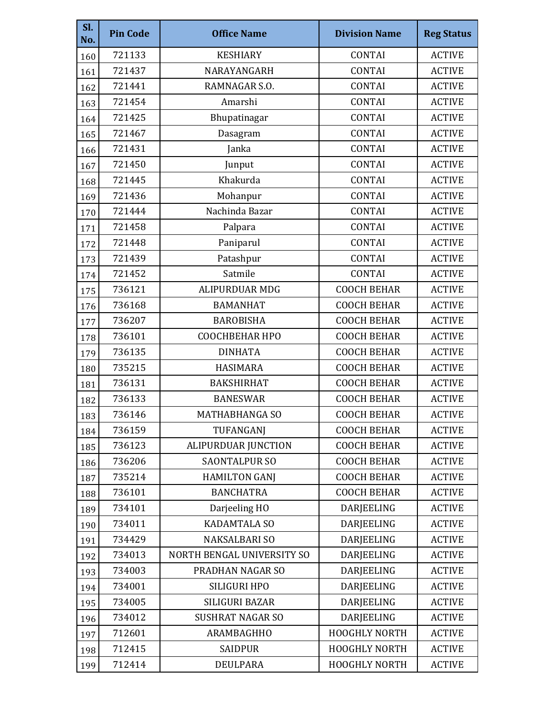| SI.<br>No. | <b>Pin Code</b> | <b>Office Name</b>         | <b>Division Name</b> | <b>Reg Status</b> |
|------------|-----------------|----------------------------|----------------------|-------------------|
| 160        | 721133          | <b>KESHIARY</b>            | <b>CONTAI</b>        | <b>ACTIVE</b>     |
| 161        | 721437          | NARAYANGARH                | <b>CONTAI</b>        | <b>ACTIVE</b>     |
| 162        | 721441          | RAMNAGAR S.O.              | <b>CONTAI</b>        | <b>ACTIVE</b>     |
| 163        | 721454          | Amarshi                    | <b>CONTAI</b>        | <b>ACTIVE</b>     |
| 164        | 721425          | Bhupatinagar               | <b>CONTAI</b>        | <b>ACTIVE</b>     |
| 165        | 721467          | Dasagram                   | <b>CONTAI</b>        | <b>ACTIVE</b>     |
| 166        | 721431          | Janka                      | <b>CONTAI</b>        | <b>ACTIVE</b>     |
| 167        | 721450          | Junput                     | <b>CONTAI</b>        | <b>ACTIVE</b>     |
| 168        | 721445          | Khakurda                   | <b>CONTAI</b>        | <b>ACTIVE</b>     |
| 169        | 721436          | Mohanpur                   | <b>CONTAI</b>        | <b>ACTIVE</b>     |
| 170        | 721444          | Nachinda Bazar             | <b>CONTAI</b>        | <b>ACTIVE</b>     |
| 171        | 721458          | Palpara                    | <b>CONTAI</b>        | <b>ACTIVE</b>     |
| 172        | 721448          | Paniparul                  | <b>CONTAI</b>        | <b>ACTIVE</b>     |
| 173        | 721439          | Patashpur                  | <b>CONTAI</b>        | <b>ACTIVE</b>     |
| 174        | 721452          | Satmile                    | <b>CONTAI</b>        | <b>ACTIVE</b>     |
| 175        | 736121          | <b>ALIPURDUAR MDG</b>      | <b>COOCH BEHAR</b>   | <b>ACTIVE</b>     |
| 176        | 736168          | <b>BAMANHAT</b>            | <b>COOCH BEHAR</b>   | <b>ACTIVE</b>     |
| 177        | 736207          | <b>BAROBISHA</b>           | <b>COOCH BEHAR</b>   | <b>ACTIVE</b>     |
| 178        | 736101          | <b>COOCHBEHAR HPO</b>      | <b>COOCH BEHAR</b>   | <b>ACTIVE</b>     |
| 179        | 736135          | <b>DINHATA</b>             | <b>COOCH BEHAR</b>   | <b>ACTIVE</b>     |
| 180        | 735215          | <b>HASIMARA</b>            | <b>COOCH BEHAR</b>   | <b>ACTIVE</b>     |
| 181        | 736131          | <b>BAKSHIRHAT</b>          | <b>COOCH BEHAR</b>   | <b>ACTIVE</b>     |
| 182        | 736133          | <b>BANESWAR</b>            | <b>COOCH BEHAR</b>   | <b>ACTIVE</b>     |
| 183        | 736146          | <b>MATHABHANGA SO</b>      | <b>COOCH BEHAR</b>   | <b>ACTIVE</b>     |
| 184        | 736159          | TUFANGANJ                  | <b>COOCH BEHAR</b>   | <b>ACTIVE</b>     |
| 185        | 736123          | ALIPURDUAR JUNCTION        | <b>COOCH BEHAR</b>   | <b>ACTIVE</b>     |
| 186        | 736206          | <b>SAONTALPUR SO</b>       | <b>COOCH BEHAR</b>   | <b>ACTIVE</b>     |
| 187        | 735214          | <b>HAMILTON GANJ</b>       | <b>COOCH BEHAR</b>   | <b>ACTIVE</b>     |
| 188        | 736101          | <b>BANCHATRA</b>           | <b>COOCH BEHAR</b>   | <b>ACTIVE</b>     |
| 189        | 734101          | Darjeeling HO              | DARJEELING           | <b>ACTIVE</b>     |
| 190        | 734011          | <b>KADAMTALA SO</b>        | DARJEELING           | <b>ACTIVE</b>     |
| 191        | 734429          | <b>NAKSALBARI SO</b>       | <b>DARJEELING</b>    | <b>ACTIVE</b>     |
| 192        | 734013          | NORTH BENGAL UNIVERSITY SO | DARJEELING           | <b>ACTIVE</b>     |
| 193        | 734003          | PRADHAN NAGAR SO           | DARJEELING           | <b>ACTIVE</b>     |
| 194        | 734001          | SILIGURI HPO               | DARJEELING           | <b>ACTIVE</b>     |
| 195        | 734005          | SILIGURI BAZAR             | DARJEELING           | <b>ACTIVE</b>     |
| 196        | 734012          | <b>SUSHRAT NAGAR SO</b>    | DARJEELING           | <b>ACTIVE</b>     |
| 197        | 712601          | ARAMBAGHHO                 | HOOGHLY NORTH        | <b>ACTIVE</b>     |
| 198        | 712415          | <b>SAIDPUR</b>             | <b>HOOGHLY NORTH</b> | <b>ACTIVE</b>     |
| 199        | 712414          | <b>DEULPARA</b>            | <b>HOOGHLY NORTH</b> | <b>ACTIVE</b>     |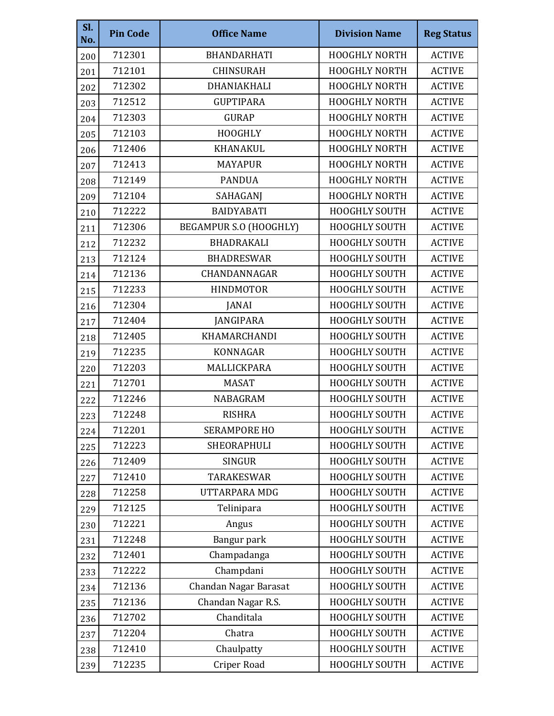| Sl.<br>No. | <b>Pin Code</b> | <b>Office Name</b>     | <b>Division Name</b> | <b>Reg Status</b> |
|------------|-----------------|------------------------|----------------------|-------------------|
| 200        | 712301          | BHANDARHATI            | <b>HOOGHLY NORTH</b> | <b>ACTIVE</b>     |
| 201        | 712101          | <b>CHINSURAH</b>       | <b>HOOGHLY NORTH</b> | <b>ACTIVE</b>     |
| 202        | 712302          | DHANIAKHALI            | <b>HOOGHLY NORTH</b> | <b>ACTIVE</b>     |
| 203        | 712512          | <b>GUPTIPARA</b>       | <b>HOOGHLY NORTH</b> | <b>ACTIVE</b>     |
| 204        | 712303          | <b>GURAP</b>           | <b>HOOGHLY NORTH</b> | <b>ACTIVE</b>     |
| 205        | 712103          | <b>HOOGHLY</b>         | <b>HOOGHLY NORTH</b> | <b>ACTIVE</b>     |
| 206        | 712406          | <b>KHANAKUL</b>        | <b>HOOGHLY NORTH</b> | <b>ACTIVE</b>     |
| 207        | 712413          | <b>MAYAPUR</b>         | <b>HOOGHLY NORTH</b> | <b>ACTIVE</b>     |
| 208        | 712149          | <b>PANDUA</b>          | <b>HOOGHLY NORTH</b> | <b>ACTIVE</b>     |
| 209        | 712104          | SAHAGANJ               | <b>HOOGHLY NORTH</b> | <b>ACTIVE</b>     |
| 210        | 712222          | <b>BAIDYABATI</b>      | <b>HOOGHLY SOUTH</b> | <b>ACTIVE</b>     |
| 211        | 712306          | BEGAMPUR S.O (HOOGHLY) | <b>HOOGHLY SOUTH</b> | <b>ACTIVE</b>     |
| 212        | 712232          | BHADRAKALI             | HOOGHLY SOUTH        | <b>ACTIVE</b>     |
| 213        | 712124          | <b>BHADRESWAR</b>      | <b>HOOGHLY SOUTH</b> | <b>ACTIVE</b>     |
| 214        | 712136          | CHANDANNAGAR           | <b>HOOGHLY SOUTH</b> | <b>ACTIVE</b>     |
| 215        | 712233          | <b>HINDMOTOR</b>       | HOOGHLY SOUTH        | <b>ACTIVE</b>     |
| 216        | 712304          | JANAI                  | HOOGHLY SOUTH        | <b>ACTIVE</b>     |
| 217        | 712404          | JANGIPARA              | HOOGHLY SOUTH        | <b>ACTIVE</b>     |
| 218        | 712405          | KHAMARCHANDI           | HOOGHLY SOUTH        | <b>ACTIVE</b>     |
| 219        | 712235          | <b>KONNAGAR</b>        | <b>HOOGHLY SOUTH</b> | <b>ACTIVE</b>     |
| 220        | 712203          | MALLICKPARA            | HOOGHLY SOUTH        | <b>ACTIVE</b>     |
| 221        | 712701          | <b>MASAT</b>           | HOOGHLY SOUTH        | <b>ACTIVE</b>     |
| 222        | 712246          | <b>NABAGRAM</b>        | HOOGHLY SOUTH        | <b>ACTIVE</b>     |
| 223        | 712248          | <b>RISHRA</b>          | <b>HOOGHLY SOUTH</b> | <b>ACTIVE</b>     |
| 224        | 712201          | <b>SERAMPORE HO</b>    | HOOGHLY SOUTH        | <b>ACTIVE</b>     |
| 225        | 712223          | SHEORAPHULI            | HOOGHLY SOUTH        | <b>ACTIVE</b>     |
| 226        | 712409          | <b>SINGUR</b>          | <b>HOOGHLY SOUTH</b> | <b>ACTIVE</b>     |
| 227        | 712410          | <b>TARAKESWAR</b>      | HOOGHLY SOUTH        | <b>ACTIVE</b>     |
| 228        | 712258          | UTTARPARA MDG          | HOOGHLY SOUTH        | <b>ACTIVE</b>     |
| 229        | 712125          | Telinipara             | <b>HOOGHLY SOUTH</b> | <b>ACTIVE</b>     |
| 230        | 712221          | Angus                  | HOOGHLY SOUTH        | <b>ACTIVE</b>     |
| 231        | 712248          | Bangur park            | HOOGHLY SOUTH        | <b>ACTIVE</b>     |
| 232        | 712401          | Champadanga            | HOOGHLY SOUTH        | <b>ACTIVE</b>     |
| 233        | 712222          | Champdani              | HOOGHLY SOUTH        | <b>ACTIVE</b>     |
| 234        | 712136          | Chandan Nagar Barasat  | HOOGHLY SOUTH        | <b>ACTIVE</b>     |
| 235        | 712136          | Chandan Nagar R.S.     | HOOGHLY SOUTH        | <b>ACTIVE</b>     |
| 236        | 712702          | Chanditala             | <b>HOOGHLY SOUTH</b> | <b>ACTIVE</b>     |
| 237        | 712204          | Chatra                 | HOOGHLY SOUTH        | <b>ACTIVE</b>     |
| 238        | 712410          | Chaulpatty             | <b>HOOGHLY SOUTH</b> | <b>ACTIVE</b>     |
| 239        | 712235          | Criper Road            | HOOGHLY SOUTH        | <b>ACTIVE</b>     |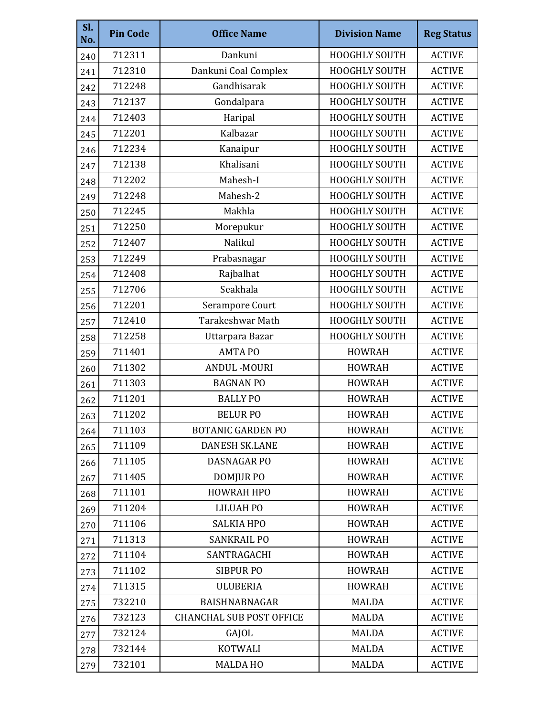| SI.<br>No. | <b>Pin Code</b> | <b>Office Name</b>              | <b>Division Name</b> | <b>Reg Status</b> |
|------------|-----------------|---------------------------------|----------------------|-------------------|
| 240        | 712311          | Dankuni                         | HOOGHLY SOUTH        | <b>ACTIVE</b>     |
| 241        | 712310          | Dankuni Coal Complex            | HOOGHLY SOUTH        | <b>ACTIVE</b>     |
| 242        | 712248          | Gandhisarak                     | <b>HOOGHLY SOUTH</b> | <b>ACTIVE</b>     |
| 243        | 712137          | Gondalpara                      | HOOGHLY SOUTH        | <b>ACTIVE</b>     |
| 244        | 712403          | Haripal                         | HOOGHLY SOUTH        | <b>ACTIVE</b>     |
| 245        | 712201          | Kalbazar                        | <b>HOOGHLY SOUTH</b> | <b>ACTIVE</b>     |
| 246        | 712234          | Kanaipur                        | HOOGHLY SOUTH        | <b>ACTIVE</b>     |
| 247        | 712138          | Khalisani                       | HOOGHLY SOUTH        | <b>ACTIVE</b>     |
| 248        | 712202          | Mahesh-I                        | HOOGHLY SOUTH        | <b>ACTIVE</b>     |
| 249        | 712248          | Mahesh-2                        | HOOGHLY SOUTH        | <b>ACTIVE</b>     |
| 250        | 712245          | Makhla                          | <b>HOOGHLY SOUTH</b> | <b>ACTIVE</b>     |
| 251        | 712250          | Morepukur                       | HOOGHLY SOUTH        | <b>ACTIVE</b>     |
| 252        | 712407          | Nalikul                         | HOOGHLY SOUTH        | <b>ACTIVE</b>     |
| 253        | 712249          | Prabasnagar                     | HOOGHLY SOUTH        | <b>ACTIVE</b>     |
| 254        | 712408          | Rajbalhat                       | HOOGHLY SOUTH        | <b>ACTIVE</b>     |
| 255        | 712706          | Seakhala                        | HOOGHLY SOUTH        | <b>ACTIVE</b>     |
| 256        | 712201          | Serampore Court                 | HOOGHLY SOUTH        | <b>ACTIVE</b>     |
| 257        | 712410          | <b>Tarakeshwar Math</b>         | HOOGHLY SOUTH        | <b>ACTIVE</b>     |
| 258        | 712258          | Uttarpara Bazar                 | HOOGHLY SOUTH        | <b>ACTIVE</b>     |
| 259        | 711401          | <b>AMTAPO</b>                   | <b>HOWRAH</b>        | <b>ACTIVE</b>     |
| 260        | 711302          | <b>ANDUL-MOURI</b>              | <b>HOWRAH</b>        | <b>ACTIVE</b>     |
| 261        | 711303          | <b>BAGNAN PO</b>                | <b>HOWRAH</b>        | <b>ACTIVE</b>     |
| 262        | 711201          | <b>BALLY PO</b>                 | <b>HOWRAH</b>        | <b>ACTIVE</b>     |
| 263        | 711202          | <b>BELUR PO</b>                 | <b>HOWRAH</b>        | <b>ACTIVE</b>     |
| 264        | 711103          | <b>BOTANIC GARDEN PO</b>        | <b>HOWRAH</b>        | <b>ACTIVE</b>     |
| 265        | 711109          | <b>DANESH SK.LANE</b>           | <b>HOWRAH</b>        | <b>ACTIVE</b>     |
| 266        | 711105          | DASNAGAR PO                     | <b>HOWRAH</b>        | <b>ACTIVE</b>     |
| 267        | 711405          | DOMJUR PO                       | <b>HOWRAH</b>        | <b>ACTIVE</b>     |
| 268        | 711101          | <b>HOWRAH HPO</b>               | <b>HOWRAH</b>        | <b>ACTIVE</b>     |
| 269        | 711204          | LILUAH PO                       | <b>HOWRAH</b>        | <b>ACTIVE</b>     |
| 270        | 711106          | <b>SALKIA HPO</b>               | <b>HOWRAH</b>        | <b>ACTIVE</b>     |
| 271        | 711313          | <b>SANKRAIL PO</b>              | <b>HOWRAH</b>        | <b>ACTIVE</b>     |
| 272        | 711104          | SANTRAGACHI                     | <b>HOWRAH</b>        | <b>ACTIVE</b>     |
| 273        | 711102          | <b>SIBPUR PO</b>                | <b>HOWRAH</b>        | <b>ACTIVE</b>     |
| 274        | 711315          | <b>ULUBERIA</b>                 | <b>HOWRAH</b>        | <b>ACTIVE</b>     |
| 275        | 732210          | <b>BAISHNABNAGAR</b>            | <b>MALDA</b>         | <b>ACTIVE</b>     |
| 276        | 732123          | <b>CHANCHAL SUB POST OFFICE</b> | <b>MALDA</b>         | <b>ACTIVE</b>     |
| 277        | 732124          | GAJOL                           | <b>MALDA</b>         | <b>ACTIVE</b>     |
| 278        | 732144          | <b>KOTWALI</b>                  | <b>MALDA</b>         | <b>ACTIVE</b>     |
| 279        | 732101          | <b>MALDAHO</b>                  | <b>MALDA</b>         | <b>ACTIVE</b>     |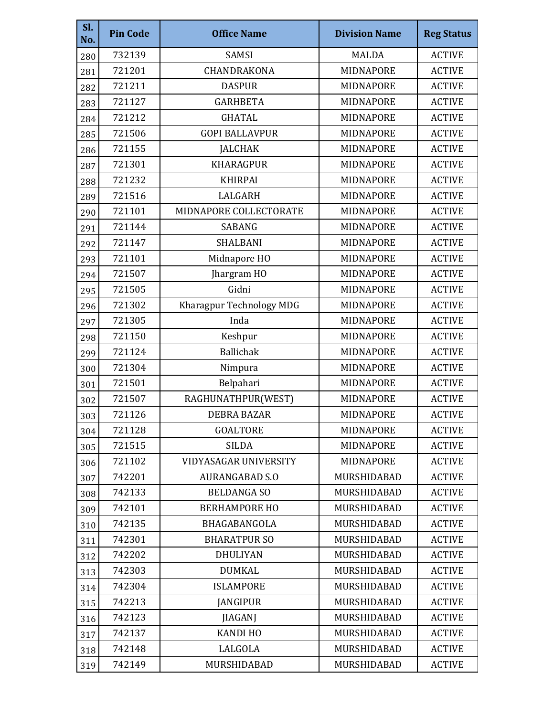| Sl.<br>No. | <b>Pin Code</b> | <b>Office Name</b>           | <b>Division Name</b> | <b>Reg Status</b> |
|------------|-----------------|------------------------------|----------------------|-------------------|
| 280        | 732139          | SAMSI                        | <b>MALDA</b>         | <b>ACTIVE</b>     |
| 281        | 721201          | CHANDRAKONA                  | MIDNAPORE            | <b>ACTIVE</b>     |
| 282        | 721211          | <b>DASPUR</b>                | MIDNAPORE            | <b>ACTIVE</b>     |
| 283        | 721127          | <b>GARHBETA</b>              | MIDNAPORE            | <b>ACTIVE</b>     |
| 284        | 721212          | <b>GHATAL</b>                | <b>MIDNAPORE</b>     | <b>ACTIVE</b>     |
| 285        | 721506          | <b>GOPI BALLAVPUR</b>        | MIDNAPORE            | <b>ACTIVE</b>     |
| 286        | 721155          | <b>JALCHAK</b>               | MIDNAPORE            | <b>ACTIVE</b>     |
| 287        | 721301          | <b>KHARAGPUR</b>             | MIDNAPORE            | <b>ACTIVE</b>     |
| 288        | 721232          | <b>KHIRPAI</b>               | MIDNAPORE            | <b>ACTIVE</b>     |
| 289        | 721516          | LALGARH                      | MIDNAPORE            | <b>ACTIVE</b>     |
| 290        | 721101          | MIDNAPORE COLLECTORATE       | MIDNAPORE            | <b>ACTIVE</b>     |
| 291        | 721144          | SABANG                       | MIDNAPORE            | <b>ACTIVE</b>     |
| 292        | 721147          | <b>SHALBANI</b>              | MIDNAPORE            | <b>ACTIVE</b>     |
| 293        | 721101          | Midnapore HO                 | <b>MIDNAPORE</b>     | <b>ACTIVE</b>     |
| 294        | 721507          | Jhargram HO                  | MIDNAPORE            | <b>ACTIVE</b>     |
| 295        | 721505          | Gidni                        | MIDNAPORE            | <b>ACTIVE</b>     |
| 296        | 721302          | Kharagpur Technology MDG     | MIDNAPORE            | <b>ACTIVE</b>     |
| 297        | 721305          | Inda                         | MIDNAPORE            | <b>ACTIVE</b>     |
| 298        | 721150          | Keshpur                      | MIDNAPORE            | <b>ACTIVE</b>     |
| 299        | 721124          | <b>Ballichak</b>             | MIDNAPORE            | <b>ACTIVE</b>     |
| 300        | 721304          | Nimpura                      | MIDNAPORE            | <b>ACTIVE</b>     |
| 301        | 721501          | Belpahari                    | MIDNAPORE            | <b>ACTIVE</b>     |
| 302        | 721507          | RAGHUNATHPUR(WEST)           | MIDNAPORE            | <b>ACTIVE</b>     |
| 303        | 721126          | <b>DEBRA BAZAR</b>           | MIDNAPORE            | <b>ACTIVE</b>     |
| 304        | 721128          | <b>GOALTORE</b>              | MIDNAPORE            | <b>ACTIVE</b>     |
| 305        | 721515          | <b>SILDA</b>                 | MIDNAPORE            | <b>ACTIVE</b>     |
| 306        | 721102          | <b>VIDYASAGAR UNIVERSITY</b> | <b>MIDNAPORE</b>     | <b>ACTIVE</b>     |
| 307        | 742201          | <b>AURANGABAD S.O</b>        | MURSHIDABAD          | <b>ACTIVE</b>     |
| 308        | 742133          | <b>BELDANGA SO</b>           | MURSHIDABAD          | <b>ACTIVE</b>     |
| 309        | 742101          | <b>BERHAMPORE HO</b>         | MURSHIDABAD          | <b>ACTIVE</b>     |
| 310        | 742135          | BHAGABANGOLA                 | MURSHIDABAD          | <b>ACTIVE</b>     |
| 311        | 742301          | <b>BHARATPUR SO</b>          | MURSHIDABAD          | <b>ACTIVE</b>     |
| 312        | 742202          | <b>DHULIYAN</b>              | MURSHIDABAD          | <b>ACTIVE</b>     |
| 313        | 742303          | <b>DUMKAL</b>                | MURSHIDABAD          | <b>ACTIVE</b>     |
| 314        | 742304          | <b>ISLAMPORE</b>             | MURSHIDABAD          | <b>ACTIVE</b>     |
| 315        | 742213          | <b>JANGIPUR</b>              | MURSHIDABAD          | <b>ACTIVE</b>     |
| 316        | 742123          | <b>JIAGANJ</b>               | MURSHIDABAD          | <b>ACTIVE</b>     |
| 317        | 742137          | <b>KANDI HO</b>              | MURSHIDABAD          | <b>ACTIVE</b>     |
| 318        | 742148          | LALGOLA                      | MURSHIDABAD          | <b>ACTIVE</b>     |
| 319        | 742149          | MURSHIDABAD                  | MURSHIDABAD          | <b>ACTIVE</b>     |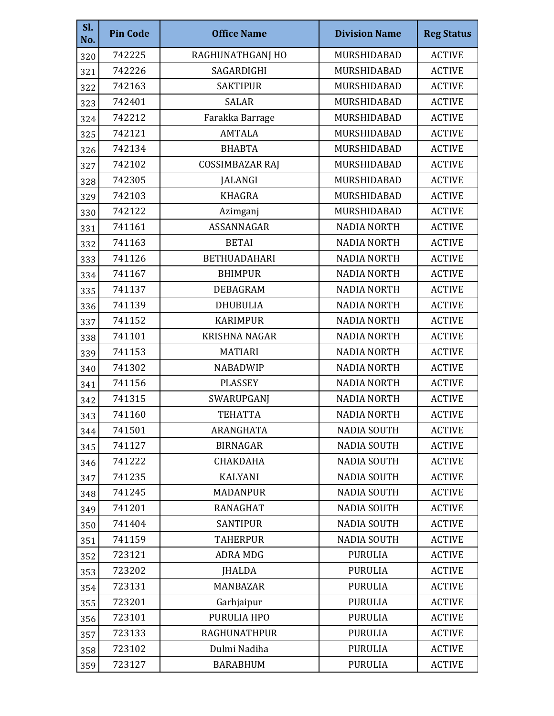| Sl.<br>No. | <b>Pin Code</b> | <b>Office Name</b>     | <b>Division Name</b> | <b>Reg Status</b> |
|------------|-----------------|------------------------|----------------------|-------------------|
| 320        | 742225          | RAGHUNATHGANJ HO       | MURSHIDABAD          | <b>ACTIVE</b>     |
| 321        | 742226          | SAGARDIGHI             | MURSHIDABAD          | <b>ACTIVE</b>     |
| 322        | 742163          | <b>SAKTIPUR</b>        | MURSHIDABAD          | <b>ACTIVE</b>     |
| 323        | 742401          | <b>SALAR</b>           | MURSHIDABAD          | <b>ACTIVE</b>     |
| 324        | 742212          | Farakka Barrage        | MURSHIDABAD          | <b>ACTIVE</b>     |
| 325        | 742121          | <b>AMTALA</b>          | MURSHIDABAD          | <b>ACTIVE</b>     |
| 326        | 742134          | <b>BHABTA</b>          | MURSHIDABAD          | <b>ACTIVE</b>     |
| 327        | 742102          | <b>COSSIMBAZAR RAJ</b> | MURSHIDABAD          | <b>ACTIVE</b>     |
| 328        | 742305          | <b>JALANGI</b>         | MURSHIDABAD          | <b>ACTIVE</b>     |
| 329        | 742103          | <b>KHAGRA</b>          | MURSHIDABAD          | <b>ACTIVE</b>     |
| 330        | 742122          | Azimganj               | MURSHIDABAD          | <b>ACTIVE</b>     |
| 331        | 741161          | ASSANNAGAR             | <b>NADIA NORTH</b>   | <b>ACTIVE</b>     |
| 332        | 741163          | <b>BETAI</b>           | <b>NADIA NORTH</b>   | <b>ACTIVE</b>     |
| 333        | 741126          | <b>BETHUADAHARI</b>    | <b>NADIA NORTH</b>   | <b>ACTIVE</b>     |
| 334        | 741167          | <b>BHIMPUR</b>         | <b>NADIA NORTH</b>   | <b>ACTIVE</b>     |
| 335        | 741137          | <b>DEBAGRAM</b>        | <b>NADIA NORTH</b>   | <b>ACTIVE</b>     |
| 336        | 741139          | <b>DHUBULIA</b>        | <b>NADIA NORTH</b>   | <b>ACTIVE</b>     |
| 337        | 741152          | <b>KARIMPUR</b>        | <b>NADIA NORTH</b>   | <b>ACTIVE</b>     |
| 338        | 741101          | <b>KRISHNA NAGAR</b>   | <b>NADIA NORTH</b>   | <b>ACTIVE</b>     |
| 339        | 741153          | <b>MATIARI</b>         | <b>NADIA NORTH</b>   | <b>ACTIVE</b>     |
| 340        | 741302          | <b>NABADWIP</b>        | <b>NADIA NORTH</b>   | <b>ACTIVE</b>     |
| 341        | 741156          | <b>PLASSEY</b>         | <b>NADIA NORTH</b>   | <b>ACTIVE</b>     |
| 342        | 741315          | SWARUPGANJ             | <b>NADIA NORTH</b>   | <b>ACTIVE</b>     |
| 343        | 741160          | <b>TEHATTA</b>         | <b>NADIA NORTH</b>   | <b>ACTIVE</b>     |
| 344        | 741501          | ARANGHATA              | <b>NADIA SOUTH</b>   | <b>ACTIVE</b>     |
| 345        | 741127          | <b>BIRNAGAR</b>        | <b>NADIA SOUTH</b>   | <b>ACTIVE</b>     |
| 346        | 741222          | CHAKDAHA               | <b>NADIA SOUTH</b>   | <b>ACTIVE</b>     |
| 347        | 741235          | KALYANI                | <b>NADIA SOUTH</b>   | <b>ACTIVE</b>     |
| 348        | 741245          | <b>MADANPUR</b>        | <b>NADIA SOUTH</b>   | <b>ACTIVE</b>     |
| 349        | 741201          | <b>RANAGHAT</b>        | <b>NADIA SOUTH</b>   | <b>ACTIVE</b>     |
| 350        | 741404          | <b>SANTIPUR</b>        | <b>NADIA SOUTH</b>   | <b>ACTIVE</b>     |
| 351        | 741159          | <b>TAHERPUR</b>        | <b>NADIA SOUTH</b>   | <b>ACTIVE</b>     |
| 352        | 723121          | <b>ADRA MDG</b>        | <b>PURULIA</b>       | <b>ACTIVE</b>     |
| 353        | 723202          | <b>JHALDA</b>          | <b>PURULIA</b>       | <b>ACTIVE</b>     |
| 354        | 723131          | <b>MANBAZAR</b>        | <b>PURULIA</b>       | <b>ACTIVE</b>     |
| 355        | 723201          | Garhjaipur             | <b>PURULIA</b>       | <b>ACTIVE</b>     |
| 356        | 723101          | PURULIA HPO            | <b>PURULIA</b>       | <b>ACTIVE</b>     |
| 357        | 723133          | <b>RAGHUNATHPUR</b>    | <b>PURULIA</b>       | <b>ACTIVE</b>     |
| 358        | 723102          | Dulmi Nadiha           | <b>PURULIA</b>       | <b>ACTIVE</b>     |
| 359        | 723127          | <b>BARABHUM</b>        | <b>PURULIA</b>       | <b>ACTIVE</b>     |